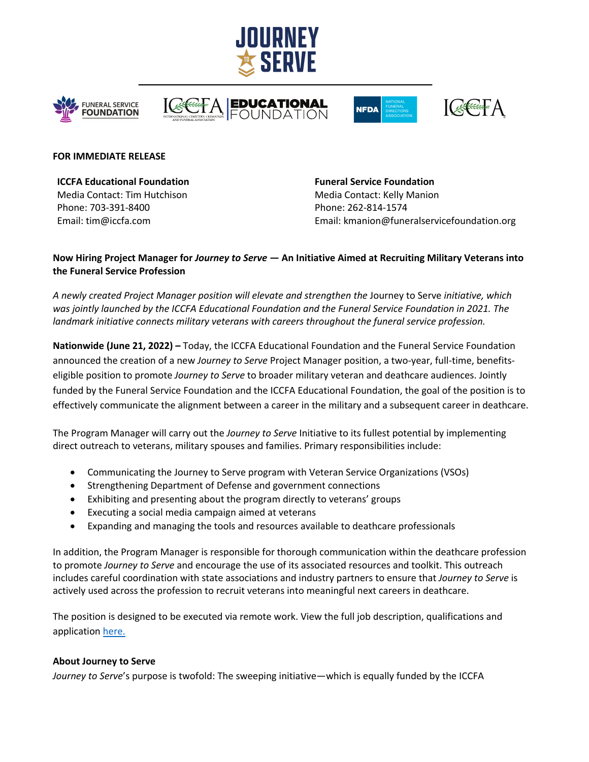









### **FOR IMMEDIATE RELEASE**

**ICCFA Educational Foundation** Media Contact: Tim Hutchison Phone: 703-391-8400 Email: tim@iccfa.com

**Funeral Service Foundation** Media Contact: Kelly Manion Phone: 262-814-1574 Email: kmanion@funeralservicefoundation.org

### **Now Hiring Project Manager for** *Journey to Serve* **— An Initiative Aimed at Recruiting Military Veterans into the Funeral Service Profession**

*A newly created Project Manager position will elevate and strengthen the* Journey to Serve *initiative, which was jointly launched by the ICCFA Educational Foundation and the Funeral Service Foundation in 2021. The landmark initiative connects military veterans with careers throughout the funeral service profession.* 

**Nationwide (June 21, 2022) –** Today, the ICCFA Educational Foundation and the Funeral Service Foundation announced the creation of a new *Journey to Serve* Project Manager position, a two-year, full-time, benefitseligible position to promote *Journey to Serve* to broader military veteran and deathcare audiences. Jointly funded by the Funeral Service Foundation and the ICCFA Educational Foundation, the goal of the position is to effectively communicate the alignment between a career in the military and a subsequent career in deathcare.

The Program Manager will carry out the *Journey to Serve* Initiative to its fullest potential by implementing direct outreach to veterans, military spouses and families. Primary responsibilities include:

- Communicating the Journey to Serve program with Veteran Service Organizations (VSOs)
- Strengthening Department of Defense and government connections
- Exhibiting and presenting about the program directly to veterans' groups
- Executing a social media campaign aimed at veterans
- Expanding and managing the tools and resources available to deathcare professionals

In addition, the Program Manager is responsible for thorough communication within the deathcare profession to promote *Journey to Serve* and encourage the use of its associated resources and toolkit. This outreach includes careful coordination with state associations and industry partners to ensure that *Journey to Serve* is actively used across the profession to recruit veterans into meaningful next careers in deathcare.

The position is designed to be executed via remote work. View the full job description, qualifications and application here.

# **About Journey to Serve**

*Journey to Serve*'s purpose is twofold: The sweeping initiative—which is equally funded by the ICCFA